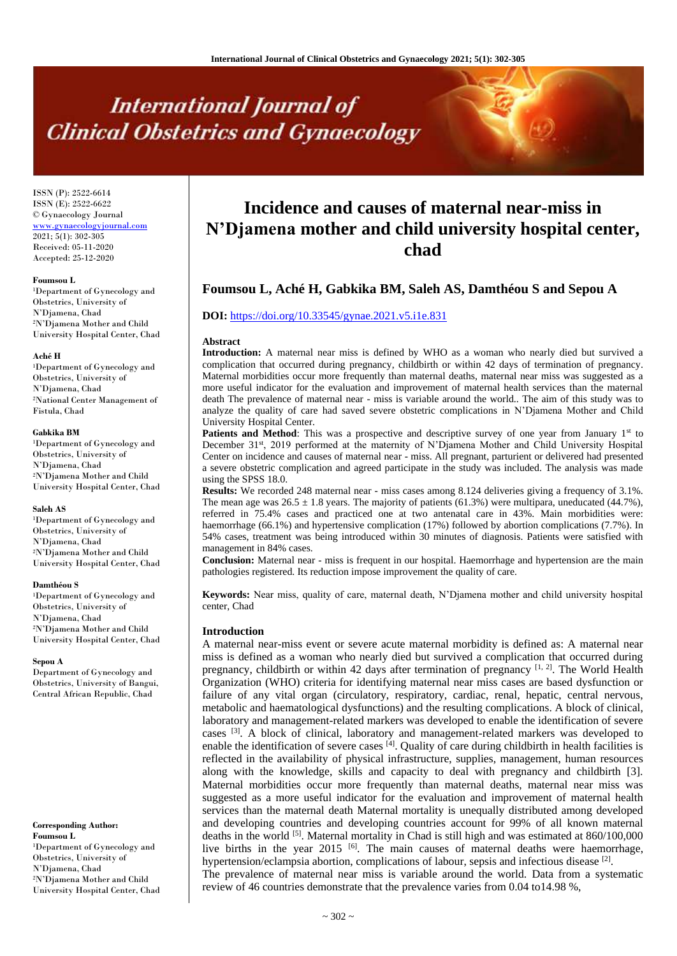# **International Journal of Clinical Obstetrics and Gynaecology**

ISSN (P): 2522-6614 ISSN (E): 2522-6622 © Gynaecology Journal <www.gynaecologyjournal.com> 2021; 5(1): 302-305 Received: 05-11-2020 Accepted: 25-12-2020

#### **Foumsou L**

<sup>1</sup>Department of Gynecology and Obstetrics, University of N'Djamena, Chad <sup>2</sup>N'Djamena Mother and Child University Hospital Center, Chad

#### **Aché H**

<sup>1</sup>Department of Gynecology and Obstetrics, University of N'Djamena, Chad <sup>2</sup>National Center Management of Fistula, Chad

#### **Gabkika BM**

<sup>1</sup>Department of Gynecology and Obstetrics, University of N'Djamena, Chad <sup>2</sup>N'Djamena Mother and Child University Hospital Center, Chad

#### **Saleh AS**

<sup>1</sup>Department of Gynecology and Obstetrics, University of N'Djamena, Chad <sup>2</sup>N'Djamena Mother and Child University Hospital Center, Chad

#### **Damthéou S**

<sup>1</sup>Department of Gynecology and Obstetrics, University of N'Djamena, Chad <sup>2</sup>N'Djamena Mother and Child University Hospital Center, Chad

#### **Sepou A**

Department of Gynecology and Obstetrics, University of Bangui, Central African Republic, Chad

**Corresponding Author: Foumsou L** <sup>1</sup>Department of Gynecology and Obstetrics, University of N'Djamena, Chad <sup>2</sup>N'Djamena Mother and Child University Hospital Center, Chad

# **Incidence and causes of maternal near-miss in N'Djamena mother and child university hospital center, chad**

# **Foumsou L, Aché H, Gabkika BM, Saleh AS, Damthéou S and Sepou A**

# **DOI:** <https://doi.org/10.33545/gynae.2021.v5.i1e.831>

#### **Abstract**

**Introduction:** A maternal near miss is defined by WHO as a woman who nearly died but survived a complication that occurred during pregnancy, childbirth or within 42 days of termination of pregnancy. Maternal morbidities occur more frequently than maternal deaths, maternal near miss was suggested as a more useful indicator for the evaluation and improvement of maternal health services than the maternal death The prevalence of maternal near - miss is variable around the world.. The aim of this study was to analyze the quality of care had saved severe obstetric complications in N'Djamena Mother and Child University Hospital Center.

**Patients and Method**: This was a prospective and descriptive survey of one year from January 1<sup>st</sup> to December 31st, 2019 performed at the maternity of N'Djamena Mother and Child University Hospital Center on incidence and causes of maternal near - miss. All pregnant, parturient or delivered had presented a severe obstetric complication and agreed participate in the study was included. The analysis was made using the SPSS 18.0.

**Results:** We recorded 248 maternal near - miss cases among 8.124 deliveries giving a frequency of 3.1%. The mean age was  $26.5 \pm 1.8$  years. The majority of patients (61.3%) were multipara, uneducated (44.7%), referred in 75.4% cases and practiced one at two antenatal care in 43%. Main morbidities were: haemorrhage (66.1%) and hypertensive complication (17%) followed by abortion complications (7.7%). In 54% cases, treatment was being introduced within 30 minutes of diagnosis. Patients were satisfied with management in 84% cases.

**Conclusion:** Maternal near - miss is frequent in our hospital. Haemorrhage and hypertension are the main pathologies registered. Its reduction impose improvement the quality of care.

**Keywords:** Near miss, quality of care, maternal death, N'Djamena mother and child university hospital center, Chad

#### **Introduction**

A maternal near-miss event or severe acute maternal morbidity is defined as: A maternal near miss is defined as a woman who nearly died but survived a complication that occurred during pregnancy, childbirth or within 42 days after termination of pregnancy  $[1, 2]$ . The World Health Organization (WHO) criteria for identifying maternal near miss cases are based dysfunction or failure of any vital organ (circulatory, respiratory, cardiac, renal, hepatic, central nervous, metabolic and haematological dysfunctions) and the resulting complications. A block of clinical, laboratory and management-related markers was developed to enable the identification of severe cases  $[3]$ . A block of clinical, laboratory and management-related markers was developed to enable the identification of severe cases  $^{[4]}$ . Quality of care during childbirth in health facilities is reflected in the availability of physical infrastructure, supplies, management, human resources along with the knowledge, skills and capacity to deal with pregnancy and childbirth [3]. Maternal morbidities occur more frequently than maternal deaths, maternal near miss was suggested as a more useful indicator for the evaluation and improvement of maternal health services than the maternal death Maternal mortality is unequally distributed among developed and developing countries and developing countries account for 99% of all known maternal deaths in the world [5]. Maternal mortality in Chad is still high and was estimated at 860/100,000 live births in the year 2015  $\left[6\right]$ . The main causes of maternal deaths were haemorrhage, hypertension/eclampsia abortion, complications of labour, sepsis and infectious disease <sup>[2]</sup>.

The prevalence of maternal near miss is variable around the world. Data from a systematic review of 46 countries demonstrate that the prevalence varies from 0.04 to14.98 %,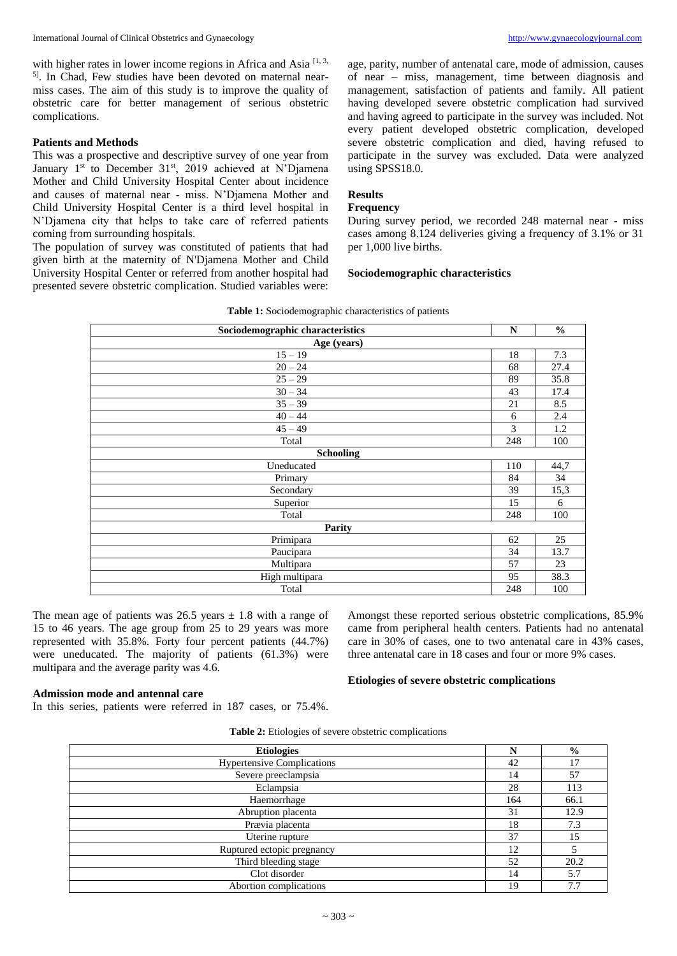with higher rates in lower income regions in Africa and Asia  $[1, 3, 3]$ <sup>5]</sup>. In Chad, Few studies have been devoted on maternal nearmiss cases. The aim of this study is to improve the quality of obstetric care for better management of serious obstetric complications.

# **Patients and Methods**

This was a prospective and descriptive survey of one year from January 1<sup>st</sup> to December 31<sup>st</sup>, 2019 achieved at N'Djamena Mother and Child University Hospital Center about incidence and causes of maternal near - miss. N'Djamena Mother and Child University Hospital Center is a third level hospital in N'Djamena city that helps to take care of referred patients coming from surrounding hospitals.

The population of survey was constituted of patients that had given birth at the maternity of N'Djamena Mother and Child University Hospital Center or referred from another hospital had presented severe obstetric complication. Studied variables were: age, parity, number of antenatal care, mode of admission, causes of near – miss, management, time between diagnosis and management, satisfaction of patients and family. All patient having developed severe obstetric complication had survived and having agreed to participate in the survey was included. Not every patient developed obstetric complication, developed severe obstetric complication and died, having refused to participate in the survey was excluded. Data were analyzed using SPSS18.0.

# **Results**

# **Frequency**

During survey period, we recorded 248 maternal near - miss cases among 8.124 deliveries giving a frequency of 3.1% or 31 per 1,000 live births.

#### **Sociodemographic characteristics**

| <b>Table 1:</b> Sociodemographic characteristics of patients |  |  |  |  |  |  |  |  |
|--------------------------------------------------------------|--|--|--|--|--|--|--|--|
|--------------------------------------------------------------|--|--|--|--|--|--|--|--|

| Sociodemographic characteristics | N   | $\frac{6}{6}$ |
|----------------------------------|-----|---------------|
| Age (years)                      |     |               |
| $15 - 19$                        | 18  | 7.3           |
| $20 - 24$                        | 68  | 27.4          |
| $25 - 29$                        | 89  | 35.8          |
| $30 - 34$                        | 43  | 17.4          |
| $35 - 39$                        | 21  | 8.5           |
| $40 - 44$                        | 6   | 2.4           |
| $45 - 49$                        | 3   | 1.2           |
| Total                            | 248 | 100           |
| <b>Schooling</b>                 |     |               |
| Uneducated                       | 110 | 44,7          |
| Primary                          | 84  | 34            |
| Secondary                        | 39  | 15,3          |
| Superior                         | 15  | 6             |
| Total                            | 248 | 100           |
| <b>Parity</b>                    |     |               |
| Primipara                        | 62  | 25            |
| Paucipara                        | 34  | 13.7          |
| Multipara                        | 57  | 23            |
| High multipara                   | 95  | 38.3          |
| Total                            | 248 | 100           |

The mean age of patients was  $26.5$  years  $\pm$  1.8 with a range of 15 to 46 years. The age group from 25 to 29 years was more represented with 35.8%. Forty four percent patients (44.7%) were uneducated. The majority of patients (61.3%) were multipara and the average parity was 4.6.

# **Admission mode and antennal care**

three antenatal care in 18 cases and four or more 9% cases.

**Etiologies of severe obstetric complications**

Amongst these reported serious obstetric complications, 85.9% came from peripheral health centers. Patients had no antenatal care in 30% of cases, one to two antenatal care in 43% cases,

# In this series, patients were referred in 187 cases, or 75.4%.

|  |  | <b>Table 2:</b> Etiologies of severe obstetric complications |
|--|--|--------------------------------------------------------------|
|  |  |                                                              |

| <b>Etiologies</b>                 | N   | $\frac{6}{9}$ |
|-----------------------------------|-----|---------------|
| <b>Hypertensive Complications</b> | 42  | 17            |
| Severe preeclampsia               | 14  | 57            |
| Eclampsia                         | 28  | 113           |
| Haemorrhage                       | 164 | 66.1          |
| Abruption placenta                | 31  | 12.9          |
| Prævia placenta                   | 18  | 7.3           |
| Uterine rupture                   | 37  | 15            |
| Ruptured ectopic pregnancy        | 12  |               |
| Third bleeding stage              | 52  | 20.2          |
| Clot disorder                     | 14  | 5.7           |
| Abortion complications            | 19  | 7.7           |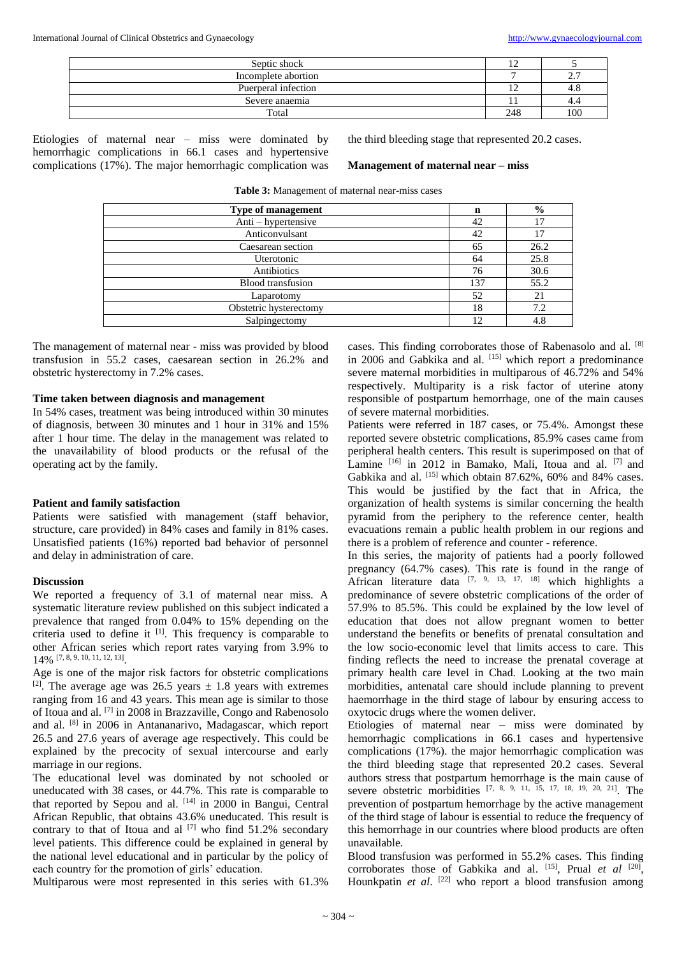| Septic shock        | $\sim$<br>∸ |                           |
|---------------------|-------------|---------------------------|
| Incomplete abortion |             | $\sim$ $\sim$<br><u>.</u> |
| Puerperal infection | ∸           | 4.Ն                       |
| Severe anaemia      |             | 4.4                       |
| Total               | 248         | 100                       |

Etiologies of maternal near – miss were dominated by hemorrhagic complications in 66.1 cases and hypertensive complications (17%). The major hemorrhagic complication was

the third bleeding stage that represented 20.2 cases.

#### **Management of maternal near – miss**

| <b>Type of management</b> | n   | $\frac{0}{0}$ |
|---------------------------|-----|---------------|
| Anti – hypertensive       | 42  |               |
| Anticonvulsant            | 42  |               |
| Caesarean section         | 65  | 26.2          |
| Uterotonic                | 64  | 25.8          |
| Antibiotics               | 76  | 30.6          |
| Blood transfusion         | 137 | 55.2          |
| Laparotomy                | 52  | 21            |
| Obstetric hysterectomy    | 18  | 7.2           |
| Salpingectomy             | 12  | 4.8           |

**Table 3:** Management of maternal near-miss cases

The management of maternal near - miss was provided by blood transfusion in 55.2 cases, caesarean section in 26.2% and obstetric hysterectomy in 7.2% cases.

#### **Time taken between diagnosis and management**

In 54% cases, treatment was being introduced within 30 minutes of diagnosis, between 30 minutes and 1 hour in 31% and 15% after 1 hour time. The delay in the management was related to the unavailability of blood products or the refusal of the operating act by the family.

# **Patient and family satisfaction**

Patients were satisfied with management (staff behavior, structure, care provided) in 84% cases and family in 81% cases. Unsatisfied patients (16%) reported bad behavior of personnel and delay in administration of care.

### **Discussion**

We reported a frequency of 3.1 of maternal near miss. A systematic literature review published on this subject indicated a prevalence that ranged from 0.04% to 15% depending on the criteria used to define it [1]. This frequency is comparable to other African series which report rates varying from 3.9% to 14% [7, 8, 9, 10, 11, 12, 13] .

Age is one of the major risk factors for obstetric complications [2]. The average age was 26.5 years  $\pm$  1.8 years with extremes ranging from 16 and 43 years. This mean age is similar to those of Itoua and al. [7] in 2008 in Brazzaville, Congo and Rabenosolo and al. [8] in 2006 in Antananarivo, Madagascar, which report 26.5 and 27.6 years of average age respectively. This could be explained by the precocity of sexual intercourse and early marriage in our regions.

The educational level was dominated by not schooled or uneducated with 38 cases, or 44.7%. This rate is comparable to that reported by Sepou and al. [14] in 2000 in Bangui, Central African Republic, that obtains 43.6% uneducated. This result is contrary to that of Itoua and al  $^{[7]}$  who find 51.2% secondary level patients. This difference could be explained in general by the national level educational and in particular by the policy of each country for the promotion of girls' education.

Multiparous were most represented in this series with 61.3%

cases. This finding corroborates those of Rabenasolo and al. [8] in 2006 and Gabkika and al. [15] which report a predominance severe maternal morbidities in multiparous of 46.72% and 54% respectively. Multiparity is a risk factor of uterine atony responsible of postpartum hemorrhage, one of the main causes of severe maternal morbidities.

Patients were referred in 187 cases, or 75.4%. Amongst these reported severe obstetric complications, 85.9% cases came from peripheral health centers. This result is superimposed on that of Lamine [16] in 2012 in Bamako, Mali, Itoua and al. [7] and Gabkika and al.  $^{[15]}$  which obtain 87.62%, 60% and 84% cases. This would be justified by the fact that in Africa, the organization of health systems is similar concerning the health pyramid from the periphery to the reference center, health evacuations remain a public health problem in our regions and there is a problem of reference and counter - reference.

In this series, the majority of patients had a poorly followed pregnancy (64.7% cases). This rate is found in the range of African literature data  $[7, 9, 13, 17, 18]$  which highlights a predominance of severe obstetric complications of the order of 57.9% to 85.5%. This could be explained by the low level of education that does not allow pregnant women to better understand the benefits or benefits of prenatal consultation and the low socio-economic level that limits access to care. This finding reflects the need to increase the prenatal coverage at primary health care level in Chad. Looking at the two main morbidities, antenatal care should include planning to prevent haemorrhage in the third stage of labour by ensuring access to oxytocic drugs where the women deliver.

Etiologies of maternal near – miss were dominated by hemorrhagic complications in 66.1 cases and hypertensive complications (17%). the major hemorrhagic complication was the third bleeding stage that represented 20.2 cases. Several authors stress that postpartum hemorrhage is the main cause of severe obstetric morbidities [7, 8, 9, 11, 15, 17, 18, 19, 20, 21]. The prevention of postpartum hemorrhage by the active management of the third stage of labour is essential to reduce the frequency of this hemorrhage in our countries where blood products are often unavailable.

Blood transfusion was performed in 55.2% cases. This finding corroborates those of Gabkika and al. <sup>[15]</sup>, Prual *et al* <sup>[20]</sup>, Hounkpatin *et al.* <sup>[22]</sup> who report a blood transfusion among